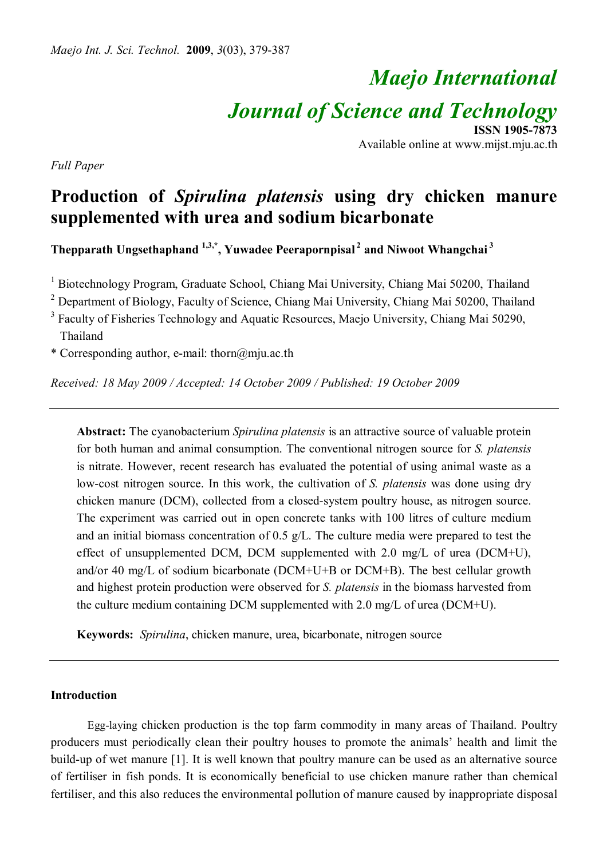# *Maejo International*

*Journal of Science and Technology*

**ISSN 1905-7873** Available online at www.mijst.mju.ac.th

*Full Paper*

# **Production of** *Spirulina platensis* **using dry chicken manure supplemented with urea and sodium bicarbonate**

**Thepparath Ungsethaphand 1,3,\* , Yuwadee Peerapornpisal<sup>2</sup> and Niwoot Whangchai<sup>3</sup>**

<sup>1</sup> Biotechnology Program, Graduate School, Chiang Mai University, Chiang Mai 50200, Thailand

<sup>2</sup> Department of Biology, Faculty of Science, Chiang Mai University, Chiang Mai 50200, Thailand

<sup>3</sup> Faculty of Fisheries Technology and Aquatic Resources, Maejo University, Chiang Mai 50290, Thailand

\* Corresponding author, e-mail: thorn@mju.ac.th

*Received: 18 May 2009 / Accepted: 14 October 2009 / Published: 19 October 2009*

**Abstract:** The cyanobacterium *Spirulina platensis* is an attractive source of valuable protein for both human and animal consumption. The conventional nitrogen source for *S. platensis* is nitrate. However, recent research has evaluated the potential of using animal waste as a low-cost nitrogen source. In this work, the cultivation of *S. platensis* was done using dry chicken manure (DCM), collected from a closed-system poultry house, as nitrogen source. The experiment was carried out in open concrete tanks with 100 litres of culture medium and an initial biomass concentration of 0.5 g/L. The culture media were prepared to test the effect of unsupplemented DCM, DCM supplemented with 2.0 mg/L of urea (DCM+U), and/or 40 mg/L of sodium bicarbonate (DCM+U+B or DCM+B). The best cellular growth and highest protein production were observed for *S. platensis* in the biomass harvested from the culture medium containing DCM supplemented with 2.0 mg/L of urea (DCM+U).

**Keywords:** *Spirulina*, chicken manure, urea, bicarbonate, nitrogen source

### **Introduction**

 Egg-laying chicken production is the top farm commodity in many areas of Thailand. Poultry producers must periodically clean their poultry houses to promote the animals' health and limit the build-up of wet manure [1]. It is well known that poultry manure can be used as an alternative source of fertiliser in fish ponds. It is economically beneficial to use chicken manure rather than chemical fertiliser, and this also reduces the environmental pollution of manure caused by inappropriate disposal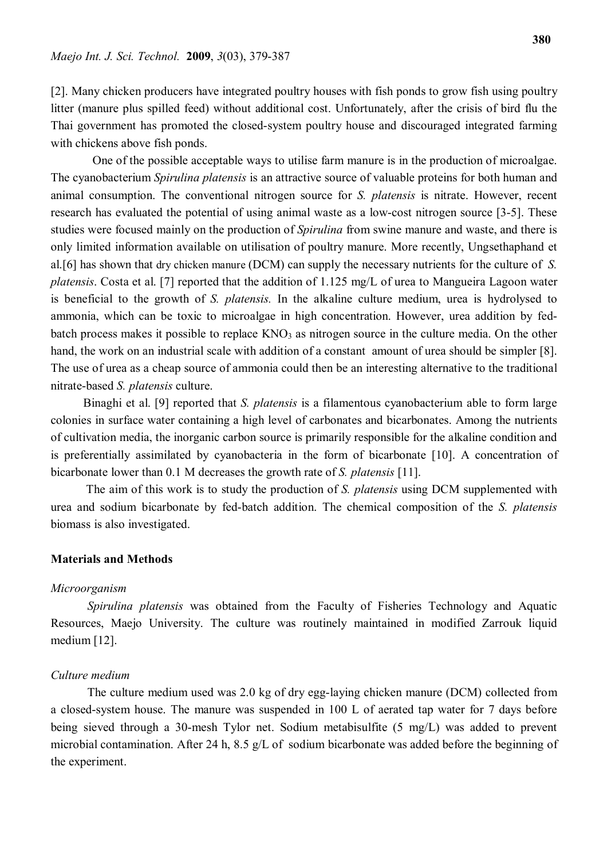[2]. Many chicken producers have integrated poultry houses with fish ponds to grow fish using poultry litter (manure plus spilled feed) without additional cost. Unfortunately, after the crisis of bird flu the Thai government has promoted the closed-system poultry house and discouraged integrated farming with chickens above fish ponds.

 One of the possible acceptable ways to utilise farm manure is in the production of microalgae. The cyanobacterium *Spirulina platensis* is an attractive source of valuable proteins for both human and animal consumption. The conventional nitrogen source for *S. platensis* is nitrate. However, recent research has evaluated the potential of using animal waste as a low-cost nitrogen source [3-5]. These studies were focused mainly on the production of *Spirulina* from swine manure and waste, and there is only limited information available on utilisation of poultry manure. More recently, Ungsethaphand et al.[6] has shown that dry chicken manure (DCM) can supply the necessary nutrients for the culture of *S. platensis*. Costa et al. [7] reported that the addition of 1.125 mg/L of urea to Mangueira Lagoon water is beneficial to the growth of *S. platensis.* In the alkaline culture medium, urea is hydrolysed to ammonia, which can be toxic to microalgae in high concentration. However, urea addition by fedbatch process makes it possible to replace  $KNO<sub>3</sub>$  as nitrogen source in the culture media. On the other hand, the work on an industrial scale with addition of a constant amount of urea should be simpler [8]. The use of urea as a cheap source of ammonia could then be an interesting alternative to the traditional nitrate-based *S. platensis* culture.

 Binaghi et al. [9] reported that *S. platensis* is a filamentous cyanobacterium able to form large colonies in surface water containing a high level of carbonates and bicarbonates. Among the nutrients of cultivation media, the inorganic carbon source is primarily responsible for the alkaline condition and is preferentially assimilated by cyanobacteria in the form of bicarbonate [10]. A concentration of bicarbonate lower than 0.1 M decreases the growth rate of *S. platensis* [11].

 The aim of this work is to study the production of *S. platensis* using DCM supplemented with urea and sodium bicarbonate by fed-batch addition. The chemical composition of the *S. platensis* biomass is also investigated.

#### **Materials and Methods**

#### *Microorganism*

*Spirulina platensis* was obtained from the Faculty of Fisheries Technology and Aquatic Resources, Maejo University. The culture was routinely maintained in modified Zarrouk liquid medium [12].

### *Culture medium*

The culture medium used was 2.0 kg of dry egg-laying chicken manure (DCM) collected from a closed-system house. The manure was suspended in 100 L of aerated tap water for 7 days before being sieved through a 30-mesh Tylor net. Sodium metabisulfite (5 mg/L) was added to prevent microbial contamination. After 24 h, 8.5 g/L of sodium bicarbonate was added before the beginning of the experiment.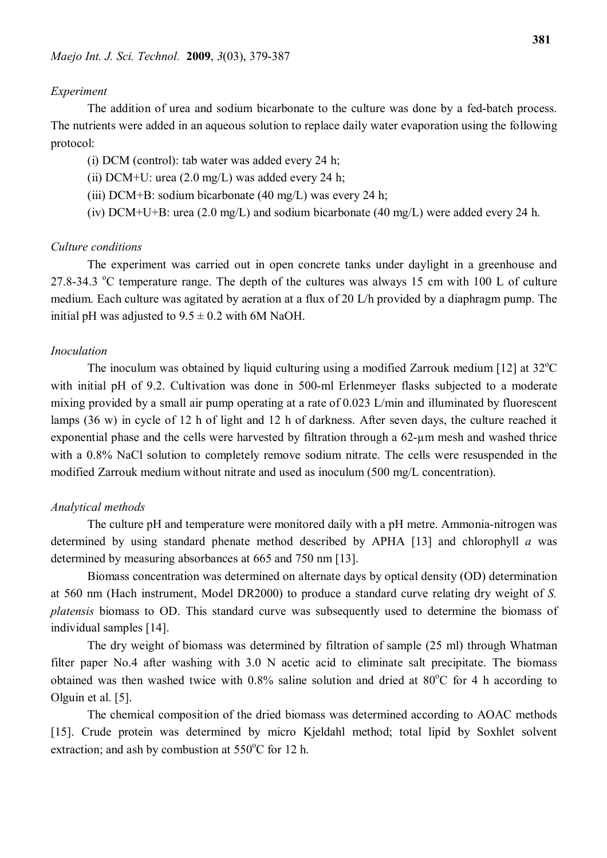#### *Experiment*

The addition of urea and sodium bicarbonate to the culture was done by a fed-batch process. The nutrients were added in an aqueous solution to replace daily water evaporation using the following protocol:

(i) DCM (control): tab water was added every 24 h;

(ii) DCM+U: urea  $(2.0 \text{ mg/L})$  was added every 24 h;

(iii) DCM+B: sodium bicarbonate (40 mg/L) was every 24 h;

(iv) DCM+U+B: urea (2.0 mg/L) and sodium bicarbonate (40 mg/L) were added every 24 h.

#### *Culture conditions*

The experiment was carried out in open concrete tanks under daylight in a greenhouse and 27.8-34.3  $\degree$ C temperature range. The depth of the cultures was always 15 cm with 100 L of culture medium. Each culture was agitated by aeration at a flux of 20 L/h provided by a diaphragm pump. The initial pH was adjusted to  $9.5 \pm 0.2$  with 6M NaOH.

# *Inoculation*

The inoculum was obtained by liquid culturing using a modified Zarrouk medium [12] at  $32^{\circ}$ C with initial pH of 9.2. Cultivation was done in 500-ml Erlenmeyer flasks subjected to a moderate mixing provided by a small air pump operating at a rate of 0.023 L/min and illuminated by fluorescent lamps (36 w) in cycle of 12 h of light and 12 h of darkness. After seven days, the culture reached it exponential phase and the cells were harvested by filtration through a 62-µm mesh and washed thrice with a 0.8% NaCl solution to completely remove sodium nitrate. The cells were resuspended in the modified Zarrouk medium without nitrate and used as inoculum (500 mg/L concentration).

# *Analytical methods*

The culture pH and temperature were monitored daily with a pH metre. Ammonia-nitrogen was determined by using standard phenate method described by APHA [13] and chlorophyll *a* was determined by measuring absorbances at 665 and 750 nm [13].

Biomass concentration was determined on alternate days by optical density (OD) determination at 560 nm (Hach instrument, Model DR2000) to produce a standard curve relating dry weight of *S. platensis* biomass to OD. This standard curve was subsequently used to determine the biomass of individual samples [14].

The dry weight of biomass was determined by filtration of sample (25 ml) through Whatman filter paper No.4 after washing with 3.0 N acetic acid to eliminate salt precipitate. The biomass obtained was then washed twice with  $0.8\%$  saline solution and dried at  $80^{\circ}$ C for 4 h according to Olguin et al. [5].

The chemical composition of the dried biomass was determined according to AOAC methods [15]. Crude protein was determined by micro Kjeldahl method; total lipid by Soxhlet solvent extraction; and ash by combustion at  $550^{\circ}$ C for 12 h.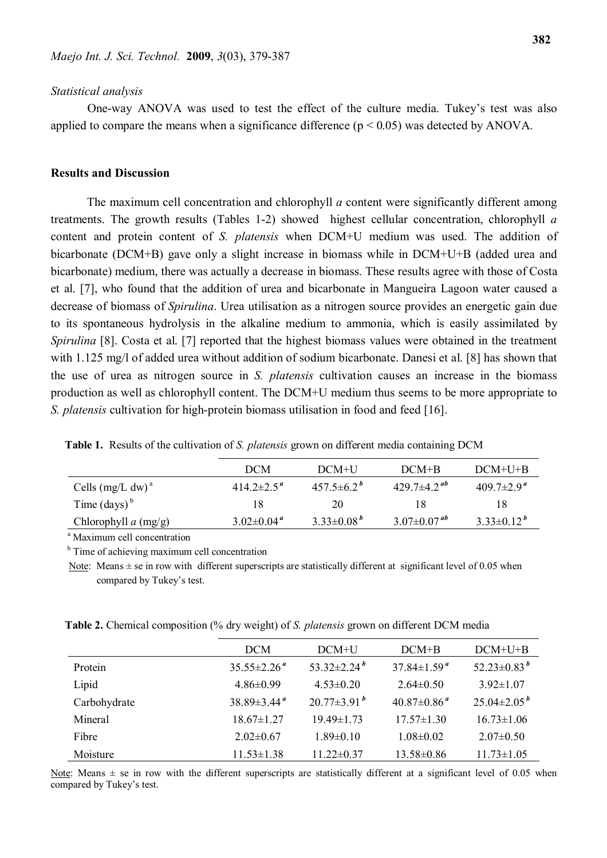#### *Statistical analysis*

One-way ANOVA was used to test the effect of the culture media. Tukey's test was also applied to compare the means when a significance difference  $(p < 0.05)$  was detected by ANOVA.

# **Results and Discussion**

The maximum cell concentration and chlorophyll *a* content were significantly different among treatments. The growth results (Tables 1-2) showed highest cellular concentration, chlorophyll *a* content and protein content of *S. platensis* when DCM+U medium was used. The addition of bicarbonate (DCM+B) gave only a slight increase in biomass while in DCM+U+B (added urea and bicarbonate) medium, there was actually a decrease in biomass. These results agree with those of Costa et al. [7], who found that the addition of urea and bicarbonate in Mangueira Lagoon water caused a decrease of biomass of *Spirulina*. Urea utilisation as a nitrogen source provides an energetic gain due to its spontaneous hydrolysis in the alkaline medium to ammonia, which is easily assimilated by *Spirulina* [8]. Costa et al. [7] reported that the highest biomass values were obtained in the treatment with 1.125 mg/l of added urea without addition of sodium bicarbonate. Danesi et al. [8] has shown that the use of urea as nitrogen source in *S. platensis* cultivation causes an increase in the biomass production as well as chlorophyll content. The DCM+U medium thus seems to be more appropriate to *S. platensis* cultivation for high-protein biomass utilisation in food and feed [16].

|  |  |  |  | Table 1. Results of the cultivation of S. platensis grown on different media containing DCM |  |
|--|--|--|--|---------------------------------------------------------------------------------------------|--|
|  |  |  |  |                                                                                             |  |

|                        | <b>DCM</b>                          | DCM+U             | $DCM+B$                              | $DCM+U+B$                    |
|------------------------|-------------------------------------|-------------------|--------------------------------------|------------------------------|
| Cells $(mg/L dw)^a$    | $414.2 \pm 2.5$ <sup>"</sup>        | $457.5 \pm 6.2^b$ | 429.7 $\pm$ 4.2 <sup><i>ab</i></sup> | $409.7 \pm 2.9$ <sup>a</sup> |
| Time $\text{(days)}^b$ | 18                                  | 20                | 18                                   | 18                           |
| Chlorophyll $a$ (mg/g) | $3.02 \pm 0.04$ <sup><i>a</i></sup> | $3.33\pm0.08^{b}$ | $3.07 \pm 0.07^{ab}$                 | $3.33\pm0.12^b$              |

<sup>a</sup> Maximum cell concentration

<sup>b</sup> Time of achieving maximum cell concentration

Note: Means  $\pm$  se in row with different superscripts are statistically different at significant level of 0.05 when compared by Tukey's test.

 **Table 2.** Chemical composition (% dry weight) of *S. platensis* grown on different DCM media

|              | <b>DCM</b>                    | DCM+U              | $DCM+B$                       | $DCM+U+B$            |
|--------------|-------------------------------|--------------------|-------------------------------|----------------------|
| Protein      | $35.55 \pm 2.26$ <sup>a</sup> | $53.32 \pm 2.24^b$ | $37.84 \pm 1.59$ <sup>a</sup> | $52.23 \pm 0.83^b$   |
| Lipid        | $4.86\pm0.99$                 | $4.53 \pm 0.20$    | $2.64\pm0.50$                 | $3.92 \pm 1.07$      |
| Carbohydrate | $38.89 \pm 3.44$ <sup>a</sup> | $20.77 \pm 3.91^b$ | $40.87 \pm 0.86$ <sup>a</sup> | $25.04 \pm 2.05^{b}$ |
| Mineral      | $18.67 \pm 1.27$              | $19.49 \pm 1.73$   | $17.57\pm1.30$                | $16.73 \pm 1.06$     |
| Fibre        | $2.02 \pm 0.67$               | $1.89 \pm 0.10$    | $1.08\pm0.02$                 | $2.07\pm0.50$        |
| Moisture     | $11.53 \pm 1.38$              | $11.22 \pm 0.37$   | 13.58±0.86                    | $11.73 \pm 1.05$     |

Note: Means  $\pm$  se in row with the different superscripts are statistically different at a significant level of 0.05 when compared by Tukey's test.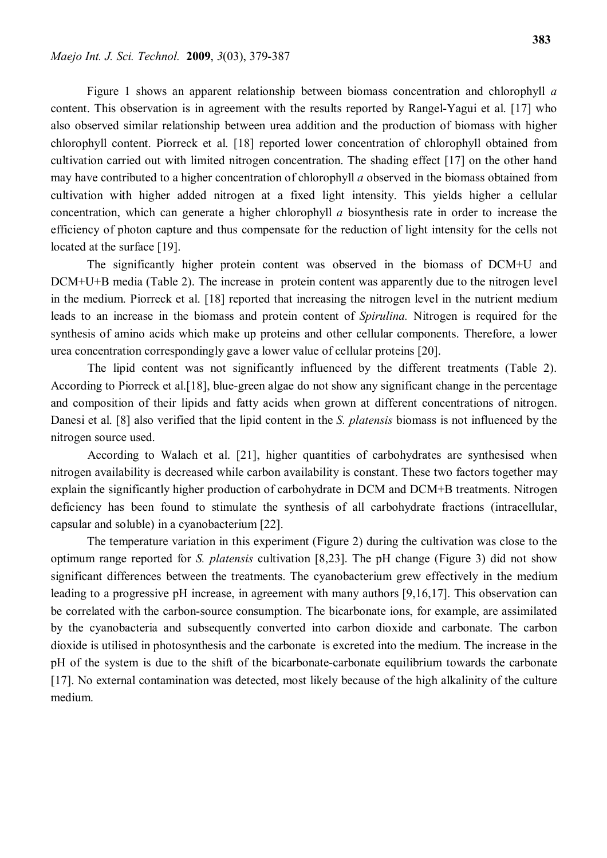Figure 1 shows an apparent relationship between biomass concentration and chlorophyll *a* content. This observation is in agreement with the results reported by Rangel-Yagui et al. [17] who also observed similar relationship between urea addition and the production of biomass with higher chlorophyll content. Piorreck et al. [18] reported lower concentration of chlorophyll obtained from cultivation carried out with limited nitrogen concentration. The shading effect [17] on the other hand may have contributed to a higher concentration of chlorophyll *a* observed in the biomass obtained from cultivation with higher added nitrogen at a fixed light intensity. This yields higher a cellular concentration, which can generate a higher chlorophyll *a* biosynthesis rate in order to increase the efficiency of photon capture and thus compensate for the reduction of light intensity for the cells not located at the surface [19].

The significantly higher protein content was observed in the biomass of DCM+U and DCM+U+B media (Table 2). The increase in protein content was apparently due to the nitrogen level in the medium. Piorreck et al. [18] reported that increasing the nitrogen level in the nutrient medium leads to an increase in the biomass and protein content of *Spirulina.* Nitrogen is required for the synthesis of amino acids which make up proteins and other cellular components. Therefore, a lower urea concentration correspondingly gave a lower value of cellular proteins [20].

The lipid content was not significantly influenced by the different treatments (Table 2). According to Piorreck et al.[18], blue-green algae do not show any significant change in the percentage and composition of their lipids and fatty acids when grown at different concentrations of nitrogen. Danesi et al. [8] also verified that the lipid content in the *S. platensis* biomass is not influenced by the nitrogen source used.

According to Walach et al. [21], higher quantities of carbohydrates are synthesised when nitrogen availability is decreased while carbon availability is constant. These two factors together may explain the significantly higher production of carbohydrate in DCM and DCM+B treatments. Nitrogen deficiency has been found to stimulate the synthesis of all carbohydrate fractions (intracellular, capsular and soluble) in a cyanobacterium [22].

The temperature variation in this experiment (Figure 2) during the cultivation was close to the optimum range reported for *S. platensis* cultivation [8,23]. The pH change (Figure 3) did not show significant differences between the treatments. The cyanobacterium grew effectively in the medium leading to a progressive pH increase, in agreement with many authors [9,16,17]. This observation can be correlated with the carbon-source consumption. The bicarbonate ions, for example, are assimilated by the cyanobacteria and subsequently converted into carbon dioxide and carbonate. The carbon dioxide is utilised in photosynthesis and the carbonate is excreted into the medium. The increase in the pH of the system is due to the shift of the bicarbonate-carbonate equilibrium towards the carbonate [17]. No external contamination was detected, most likely because of the high alkalinity of the culture medium.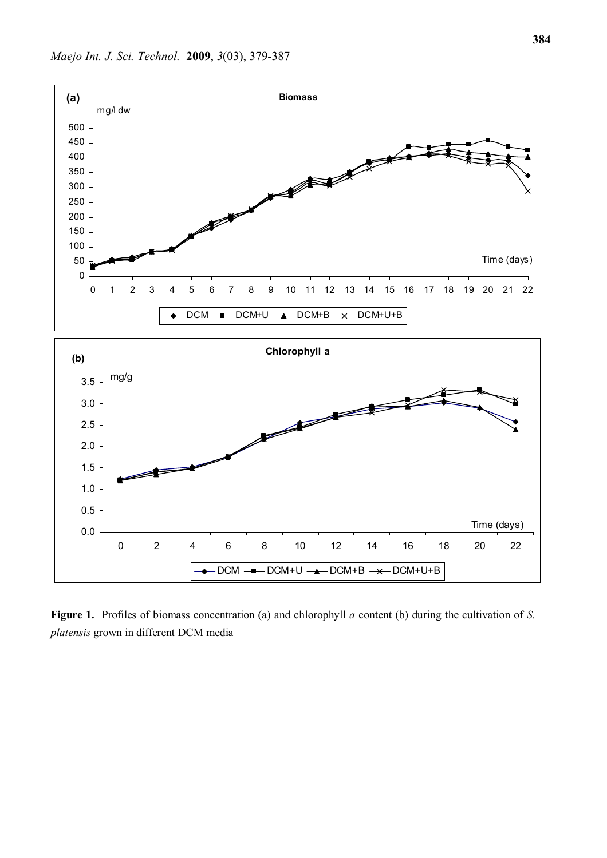

**Figure 1.** Profiles of biomass concentration (a) and chlorophyll *a* content (b) during the cultivation of *S. platensis* grown in different DCM media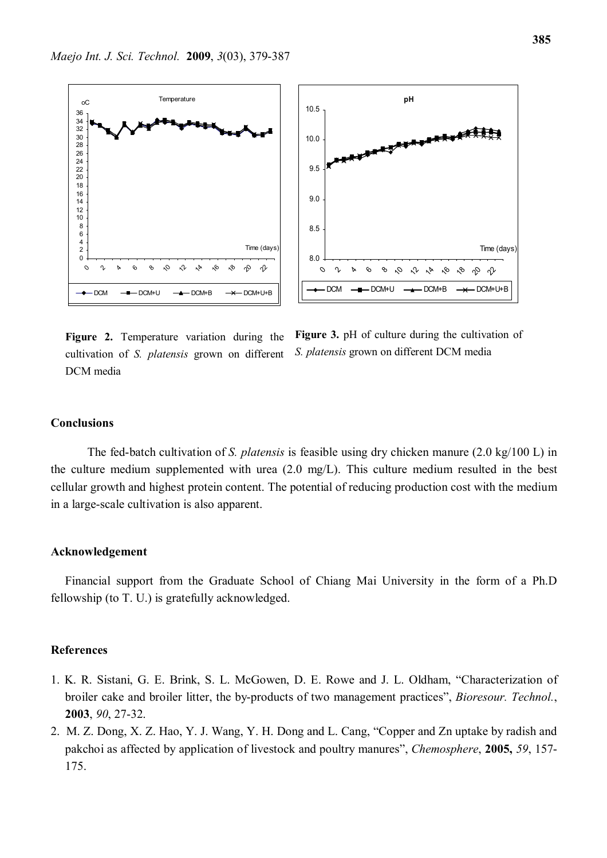



**Figure 2.** Temperature variation during the cultivation of *S. platensis* grown on different DCM media

Figure 3. pH of culture during the cultivation of *S. platensis* grown on different DCM media

#### **Conclusions**

The fed-batch cultivation of *S. platensis* is feasible using dry chicken manure (2.0 kg/100 L) in the culture medium supplemented with urea (2.0 mg/L). This culture medium resulted in the best cellular growth and highest protein content. The potential of reducing production cost with the medium in a large-scale cultivation is also apparent.

#### **Acknowledgement**

Financial support from the Graduate School of Chiang Mai University in the form of a Ph.D fellowship (to T. U.) is gratefully acknowledged.

#### **References**

- 1. K. R. Sistani, G. E. Brink, S. L. McGowen, D. E. Rowe and J. L. Oldham, "Characterization of broiler cake and broiler litter, the by-products of two management practices", *Bioresour. Technol.*, **2003**, *90*, 27-32.
- 2. M. Z. Dong, X. Z. Hao, Y. J. Wang, Y. H. Dong and L. Cang, "Copper and Zn uptake by radish and pakchoi as affected by application of livestock and poultry manures", *Chemosphere*, **2005,** *59*, 157- 175.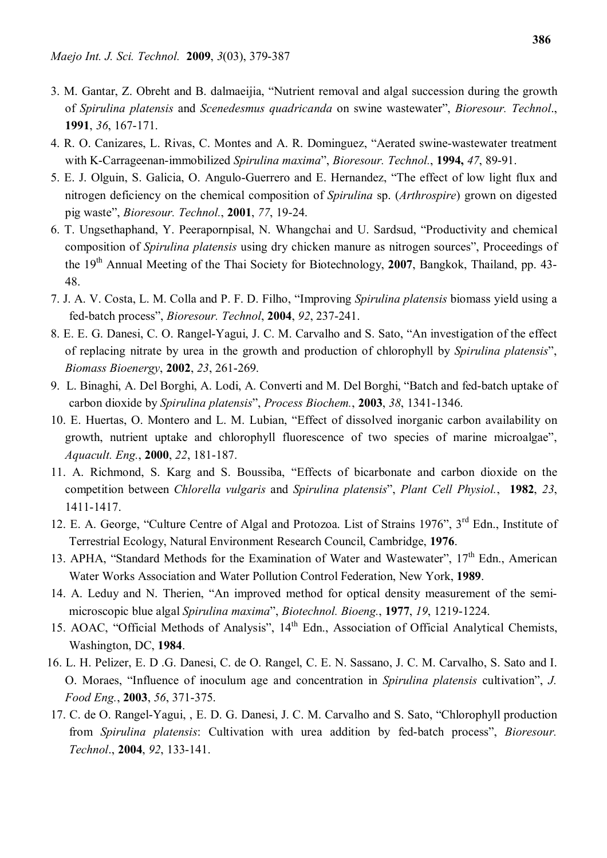- 3. M. Gantar, Z. Obreht and B. dalmaeijia, "Nutrient removal and algal succession during the growth of *Spirulina platensis* and *Scenedesmus quadricanda* on swine wastewater", *Bioresour. Technol*., **1991**, *36*, 167-171.
- 4. R. O. Canizares, L. Rivas, C. Montes and A. R. Dominguez, "Aerated swine-wastewater treatment with K-Carrageenan-immobilized *Spirulina maxima*", *Bioresour. Technol.*, **1994,** *47*, 89-91.
- 5. E. J. Olguin, S. Galicia, O. Angulo-Guerrero and E. Hernandez, "The effect of low light flux and nitrogen deficiency on the chemical composition of *Spirulina* sp. (*Arthrospire*) grown on digested pig waste", *Bioresour. Technol.*, **2001**, *77*, 19-24.
- 6. T. Ungsethaphand, Y. Peerapornpisal, N. Whangchai and U. Sardsud, "Productivity and chemical composition of *Spirulina platensis* using dry chicken manure as nitrogen sources", Proceedings of the 19th Annual Meeting of the Thai Society for Biotechnology, **2007**, Bangkok, Thailand, pp. 43- 48.
- 7. J. A. V. Costa, L. M. Colla and P. F. D. Filho, "Improving *Spirulina platensis* biomass yield using a fed-batch process", *Bioresour. Technol*, **2004**, *92*, 237-241.
- 8. E. E. G. Danesi, C. O. Rangel-Yagui, J. C. M. Carvalho and S. Sato, "An investigation of the effect of replacing nitrate by urea in the growth and production of chlorophyll by *Spirulina platensis*", *Biomass Bioenergy*, **2002**, *23*, 261-269.
- 9. L. Binaghi, A. Del Borghi, A. Lodi, A. Converti and M. Del Borghi, "Batch and fed-batch uptake of carbon dioxide by *Spirulina platensis*", *Process Biochem.*, **2003**, *38*, 1341-1346.
- 10. E. Huertas, O. Montero and L. M. Lubian, "Effect of dissolved inorganic carbon availability on growth, nutrient uptake and chlorophyll fluorescence of two species of marine microalgae", *Aquacult. Eng.*, **2000**, *22*, 181-187.
- 11. A. Richmond, S. Karg and S. Boussiba, "Effects of bicarbonate and carbon dioxide on the competition between *Chlorella vulgaris* and *Spirulina platensis*", *Plant Cell Physiol.*, **1982**, *23*, 1411-1417.
- 12. E. A. George, "Culture Centre of Algal and Protozoa. List of Strains 1976", 3<sup>rd</sup> Edn., Institute of Terrestrial Ecology, Natural Environment Research Council, Cambridge, **1976**.
- 13. APHA, "Standard Methods for the Examination of Water and Wastewater", 17<sup>th</sup> Edn., American Water Works Association and Water Pollution Control Federation, New York, **1989**.
- 14. A. Leduy and N. Therien, "An improved method for optical density measurement of the semimicroscopic blue algal *Spirulina maxima*", *Biotechnol. Bioeng.*, **1977**, *19*, 1219-1224.
- 15. AOAC, "Official Methods of Analysis", 14<sup>th</sup> Edn., Association of Official Analytical Chemists, Washington, DC, **1984**.
- 16. L. H. Pelizer, E. D .G. Danesi, C. de O. Rangel, C. E. N. Sassano, J. C. M. Carvalho, S. Sato and I. O. Moraes, "Influence of inoculum age and concentration in *Spirulina platensis* cultivation", *J. Food Eng.*, **2003**, *56*, 371-375.
- 17. C. de O. Rangel-Yagui, , E. D. G. Danesi, J. C. M. Carvalho and S. Sato, "Chlorophyll production from *Spirulina platensis*: Cultivation with urea addition by fed-batch process", *Bioresour. Technol*., **2004**, *92*, 133-141.